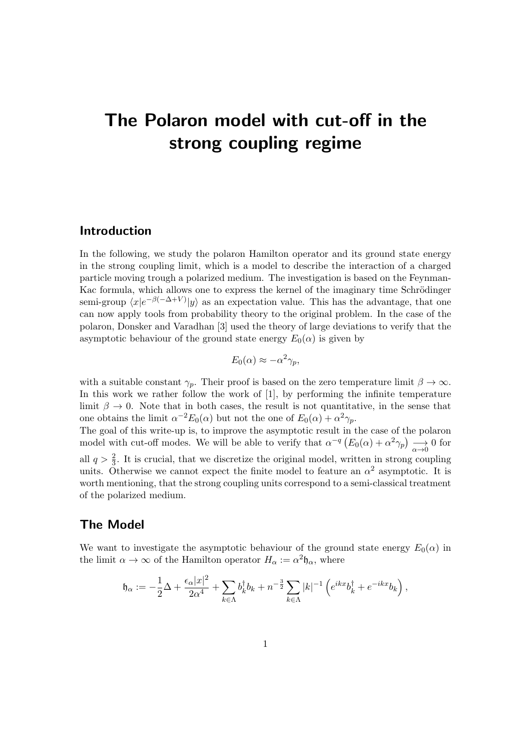# The Polaron model with cut-off in the strong coupling regime

## Introduction

In the following, we study the polaron Hamilton operator and its ground state energy in the strong coupling limit, which is a model to describe the interaction of a charged particle moving trough a polarized medium. The investigation is based on the Feynman-Kac formula, which allows one to express the kernel of the imaginary time Schrödinger semi-group  $\langle x|e^{-\beta(-\Delta+V)}|y\rangle$  as an expectation value. This has the advantage, that one can now apply tools from probability theory to the original problem. In the case of the polaron, Donsker and Varadhan [3] used the theory of large deviations to verify that the asymptotic behaviour of the ground state energy  $E_0(\alpha)$  is given by

$$
E_0(\alpha) \approx -\alpha^2 \gamma_p,
$$

with a suitable constant  $\gamma_p$ . Their proof is based on the zero temperature limit  $\beta \to \infty$ . In this work we rather follow the work of [1], by performing the infinite temperature limit  $\beta \to 0$ . Note that in both cases, the result is not quantitative, in the sense that one obtains the limit  $\alpha^{-2} E_0(\alpha)$  but not the one of  $E_0(\alpha) + \alpha^2 \gamma_p$ .

The goal of this write-up is, to improve the asymptotic result in the case of the polaron model with cut-off modes. We will be able to verify that  $\alpha^{-q} (E_0(\alpha) + \alpha^2 \gamma_p) \rightarrow 0$  for all  $q > \frac{2}{3}$ . It is crucial, that we discretize the original model, written in strong coupling units. Otherwise we cannot expect the finite model to feature an  $\alpha^2$  asymptotic. It is worth mentioning, that the strong coupling units correspond to a semi-classical treatment of the polarized medium.

# The Model

We want to investigate the asymptotic behaviour of the ground state energy  $E_0(\alpha)$  in the limit  $\alpha \to \infty$  of the Hamilton operator  $H_{\alpha} := \alpha^2 \mathfrak{h}_{\alpha}$ , where

$$
\mathfrak{h}_\alpha:=-\frac{1}{2}\Delta+\frac{\epsilon_\alpha |x|^2}{2\alpha^4}+\sum_{k\in\Lambda}b_k^\dagger b_k+n^{-\frac{3}{2}}\sum_{k\in\Lambda}|k|^{-1}\left(e^{ikx}b_k^\dagger+e^{-ikx}b_k\right),
$$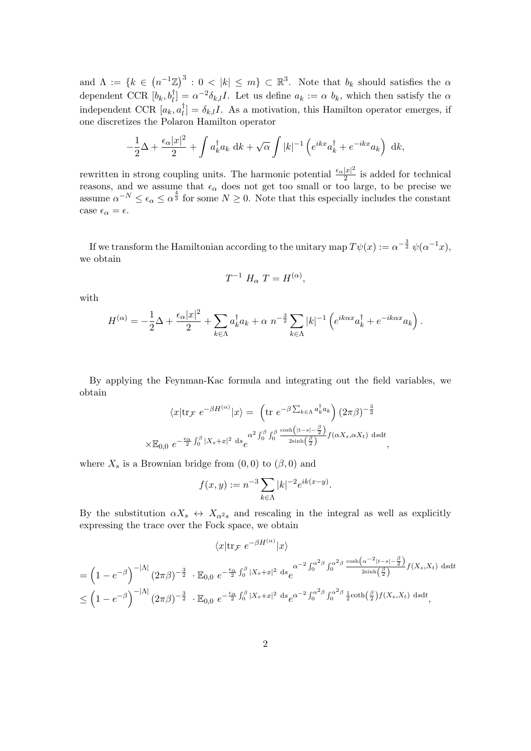and  $\Lambda := \{k \in (n^{-1}\mathbb{Z})^3 : 0 < |k| \leq m\} \subset \mathbb{R}^3$ . Note that  $b_k$  should satisfies the  $\alpha$ dependent CCR  $[b_k, b_l] = \alpha^{-2} \delta_{k,l} I$ . Let us define  $a_k := \alpha b_k$ , which then satisfy the  $\alpha$ independent CCR  $[a_k, a_l^{\dagger}]$  $\begin{bmatrix} \overline{l} \end{bmatrix} = \delta_{k,l}I$ . As a motivation, this Hamilton operator emerges, if one discretizes the Polaron Hamilton operator

$$
-\frac{1}{2}\Delta + \frac{\epsilon_{\alpha}|x|^2}{2} + \int a_k^{\dagger} a_k \, dk + \sqrt{\alpha} \int |k|^{-1} \left( e^{ikx} a_k^{\dagger} + e^{-ikx} a_k \right) \, dk,
$$

rewritten in strong coupling units. The harmonic potential  $\frac{\epsilon_{\alpha}|x|^2}{2}$  $\frac{|x|}{2}$  is added for technical reasons, and we assume that  $\epsilon_{\alpha}$  does not get too small or too large, to be precise we assume  $\alpha^{-N} \leq \epsilon_{\alpha} \leq \alpha^{\frac{4}{3}}$  for some  $N \geq 0$ . Note that this especially includes the constant case  $\epsilon_{\alpha} = \epsilon$ .

If we transform the Hamiltonian according to the unitary map  $T\psi(x) := \alpha^{-\frac{3}{2}} \psi(\alpha^{-1}x)$ , we obtain

$$
T^{-1} H_{\alpha} T = H^{(\alpha)},
$$

with

$$
H^{(\alpha)} = -\frac{1}{2}\Delta + \frac{\epsilon_{\alpha}|x|^2}{2} + \sum_{k \in \Lambda} a_k^{\dagger} a_k + \alpha \ n^{-\frac{3}{2}} \sum_{k \in \Lambda} |k|^{-1} \left( e^{ik\alpha x} a_k^{\dagger} + e^{-ik\alpha x} a_k \right).
$$

By applying the Feynman-Kac formula and integrating out the field variables, we obtain

$$
\langle x| \text{tr}_{\mathcal{F}} e^{-\beta H^{(\alpha)}} |x\rangle = \left( \text{tr } e^{-\beta \sum_{k \in \Lambda} a_k^{\dagger} a_k} \right) (2\pi \beta)^{-\frac{3}{2}}
$$

$$
\times \mathbb{E}_{0,0} e^{-\frac{\epsilon_{\alpha}}{2} \int_0^{\beta} |X_s + x|^2 ds} e^{\alpha^2 \int_0^{\beta} \int_0^{\beta} \frac{\cosh\left(|t - s| - \frac{\beta}{2}\right)}{2\sinh\left(\frac{\beta}{2}\right)} f(\alpha X_s, \alpha X_t) ds dt},
$$

where  $X_s$  is a Brownian bridge from  $(0,0)$  to  $(\beta,0)$  and

$$
f(x, y) := n^{-3} \sum_{k \in \Lambda} |k|^{-2} e^{ik(x - y)}.
$$

By the substitution  $\alpha X_s \leftrightarrow X_{\alpha^2 s}$  and rescaling in the integral as well as explicitly expressing the trace over the Fock space, we obtain

$$
\langle x|\text{tr}_{\mathcal{F}} e^{-\beta H^{(\alpha)}}|x\rangle
$$
  
=  $\left(1 - e^{-\beta}\right)^{-|\Lambda|} (2\pi\beta)^{-\frac{3}{2}} \cdot \mathbb{E}_{0,0} e^{-\frac{\epsilon_{\alpha}}{2} \int_{0}^{\beta} |X_{s}+x|^{2} ds} e^{\alpha^{-2} \int_{0}^{\alpha^{2}\beta} \int_{0}^{\alpha^{2}\beta} \frac{\cosh(\alpha^{-2}|t-s|-\frac{\beta}{2})}{2\sinh(\frac{\beta}{2})} f(X_{s},X_{t}) dsdt}$   
 $\leq \left(1 - e^{-\beta}\right)^{-|\Lambda|} (2\pi\beta)^{-\frac{3}{2}} \cdot \mathbb{E}_{0,0} e^{-\frac{\epsilon_{\alpha}}{2} \int_{0}^{\beta} |X_{s}+x|^{2} ds} e^{\alpha^{-2} \int_{0}^{\alpha^{2}\beta} \int_{0}^{\alpha^{2}\beta} \frac{1}{2} \coth(\frac{\beta}{2}) f(X_{s},X_{t}) dsdt},$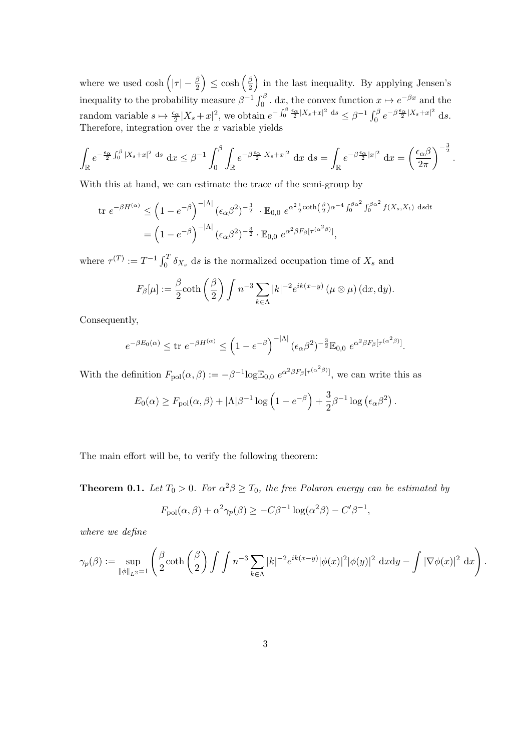where we used  $\cosh\left(|\tau|-\frac{\beta}{2}\right) \leq \cosh\left(\frac{\beta}{2}\right)$  $\frac{\beta}{2}$  in the last inequality. By applying Jensen's inequality to the probability measure  $\beta^{-1} \int_0^\beta$ . dx, the convex function  $x \mapsto e^{-\beta x}$  and the random variable  $s \mapsto \frac{\epsilon_{\alpha}}{2} |X_s + x|^2$ , we obtain  $e^{-\int_0^{\beta} \frac{\epsilon_{\alpha}}{2} |X_s + x|^2 ds} \leq \beta^{-1} \int_0^{\beta} e^{-\beta \frac{\epsilon_{\alpha}}{2} |X_s + x|^2 ds}$ . Therefore, integration over the  $x$  variable yields

$$
\int_{\mathbb{R}} e^{-\frac{\epsilon_{\alpha}}{2} \int_{0}^{\beta} |X_s + x|^2 ds} dx \leq \beta^{-1} \int_{0}^{\beta} \int_{\mathbb{R}} e^{-\beta \frac{\epsilon_{\alpha}}{2} |X_s + x|^2} dx ds = \int_{\mathbb{R}} e^{-\beta \frac{\epsilon_{\alpha}}{2} |x|^2} dx = \left(\frac{\epsilon_{\alpha} \beta}{2\pi}\right)^{-\frac{3}{2}}.
$$

With this at hand, we can estimate the trace of the semi-group by

$$
\begin{split} \text{tr } e^{-\beta H^{(\alpha)}} &\leq \left(1 - e^{-\beta}\right)^{-|\Lambda|} \left(\epsilon_{\alpha}\beta^2\right)^{-\frac{3}{2}} \cdot \mathbb{E}_{0,0} \ e^{\alpha^2 \frac{1}{2} \coth\left(\frac{\beta}{2}\right)\alpha^{-4} \int_0^{\beta\alpha^2} \int_0^{\beta\alpha^2} f(X_s, X_t) \ \text{d}s \text{d}t} \\ &= \left(1 - e^{-\beta}\right)^{-|\Lambda|} \left(\epsilon_{\alpha}\beta^2\right)^{-\frac{3}{2}} \cdot \mathbb{E}_{0,0} \ e^{\alpha^2 \beta F_{\beta} \left[\tau^{(\alpha^2\beta)}\right]}, \end{split}
$$

where  $\tau^{(T)} := T^{-1} \int_0^T \delta_{X_s} ds$  is the normalized occupation time of  $X_s$  and

$$
F_{\beta}[\mu] := \frac{\beta}{2} \coth\left(\frac{\beta}{2}\right) \int n^{-3} \sum_{k \in \Lambda} |k|^{-2} e^{ik(x-y)} \left(\mu \otimes \mu\right) (\mathrm{d}x, \mathrm{d}y).
$$

Consequently,

$$
e^{-\beta E_0(\alpha)} \le \text{tr } e^{-\beta H^{(\alpha)}} \le \left(1 - e^{-\beta}\right)^{-|\Lambda|} (\epsilon_\alpha \beta^2)^{-\frac{3}{2}} \mathbb{E}_{0,0} e^{\alpha^2 \beta F_\beta [\tau^{(\alpha^2 \beta)}]}.
$$

With the definition  $F_{pol}(\alpha, \beta) := -\beta^{-1} \log \mathbb{E}_{0,0} e^{\alpha^2 \beta F_\beta [\tau^{(\alpha^2 \beta)}]},$  we can write this as

$$
E_0(\alpha) \ge F_{\text{pol}}(\alpha, \beta) + |\Lambda|\beta^{-1} \log (1 - e^{-\beta}) + \frac{3}{2}\beta^{-1} \log (\epsilon_\alpha \beta^2).
$$

The main effort will be, to verify the following theorem:

**Theorem 0.1.** Let  $T_0 > 0$ . For  $\alpha^2 \beta \ge T_0$ , the free Polaron energy can be estimated by

$$
F_{\text{pol}}(\alpha, \beta) + \alpha^2 \gamma_p(\beta) \ge -C\beta^{-1} \log(\alpha^2 \beta) - C'\beta^{-1},
$$

where we define

$$
\gamma_p(\beta) := \sup_{\|\phi\|_{L^2} = 1} \left( \frac{\beta}{2} \coth\left(\frac{\beta}{2}\right) \int \int n^{-3} \sum_{k \in \Lambda} |k|^{-2} e^{ik(x-y)} |\phi(x)|^2 |\phi(y)|^2 dx dy - \int |\nabla \phi(x)|^2 dx \right)
$$

.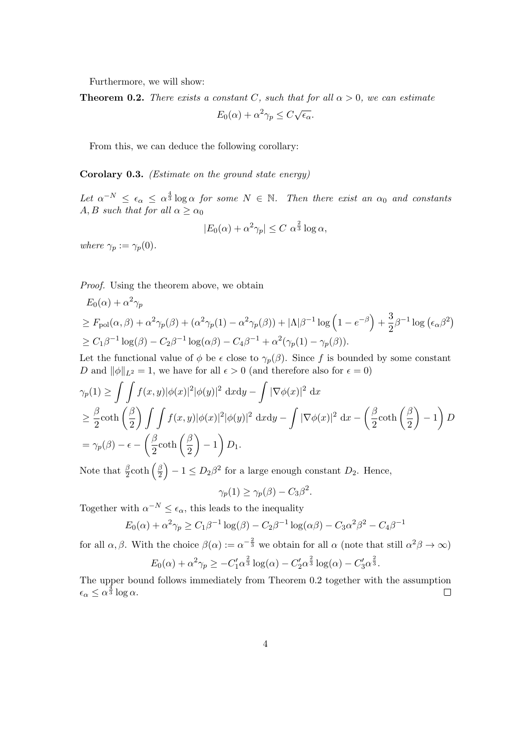Furthermore, we will show:

**Theorem 0.2.** There exists a constant C, such that for all  $\alpha > 0$ , we can estimate √

$$
E_0(\alpha) + \alpha^2 \gamma_p \le C \sqrt{\epsilon_\alpha}.
$$

From this, we can deduce the following corollary:

Corolary 0.3. (Estimate on the ground state energy)

Let  $\alpha^{-N} \leq \epsilon_{\alpha} \leq \alpha^{\frac{4}{3}} \log \alpha$  for some  $N \in \mathbb{N}$ . Then there exist an  $\alpha_0$  and constants A, B such that for all  $\alpha \geq \alpha_0$ 

$$
|E_0(\alpha) + \alpha^2 \gamma_p| \le C \alpha^{\frac{2}{3}} \log \alpha,
$$

where  $\gamma_p := \gamma_p(0)$ .

Proof. Using the theorem above, we obtain

$$
E_0(\alpha) + \alpha^2 \gamma_p
$$
  
\n
$$
\geq F_{\text{pol}}(\alpha, \beta) + \alpha^2 \gamma_p(\beta) + (\alpha^2 \gamma_p(1) - \alpha^2 \gamma_p(\beta)) + |\Lambda|\beta^{-1} \log (1 - e^{-\beta}) + \frac{3}{2}\beta^{-1} \log (\epsilon_\alpha \beta^2)
$$
  
\n
$$
\geq C_1 \beta^{-1} \log(\beta) - C_2 \beta^{-1} \log(\alpha \beta) - C_4 \beta^{-1} + \alpha^2 (\gamma_p(1) - \gamma_p(\beta)).
$$

Let the functional value of  $\phi$  be  $\epsilon$  close to  $\gamma_p(\beta)$ . Since f is bounded by some constant D and  $\|\phi\|_{L^2} = 1$ , we have for all  $\epsilon > 0$  (and therefore also for  $\epsilon = 0$ )

$$
\gamma_p(1) \ge \iint f(x, y) |\phi(x)|^2 |\phi(y)|^2 dx dy - \int |\nabla \phi(x)|^2 dx
$$
  
\n
$$
\ge \frac{\beta}{2} \coth\left(\frac{\beta}{2}\right) \iint f(x, y) |\phi(x)|^2 |\phi(y)|^2 dx dy - \int |\nabla \phi(x)|^2 dx - \left(\frac{\beta}{2} \coth\left(\frac{\beta}{2}\right) - 1\right) D
$$
  
\n
$$
= \gamma_p(\beta) - \epsilon - \left(\frac{\beta}{2} \coth\left(\frac{\beta}{2}\right) - 1\right) D_1.
$$

Note that  $\frac{\beta}{2} \coth \left( \frac{\beta}{2} \right)$  $\left(\frac{\beta}{2}\right) - 1 \le D_2 \beta^2$  for a large enough constant  $D_2$ . Hence,

$$
\gamma_p(1) \ge \gamma_p(\beta) - C_3 \beta^2.
$$

Together with  $\alpha^{-N} \leq \epsilon_{\alpha}$ , this leads to the inequality

$$
E_0(\alpha) + \alpha^2 \gamma_p \ge C_1 \beta^{-1} \log(\beta) - C_2 \beta^{-1} \log(\alpha \beta) - C_3 \alpha^2 \beta^2 - C_4 \beta^{-1}
$$

for all  $\alpha, \beta$ . With the choice  $\beta(\alpha) := \alpha^{-\frac{2}{3}}$  we obtain for all  $\alpha$  (note that still  $\alpha^2\beta \to \infty$ ) 2 2 2

$$
E_0(\alpha) + \alpha^2 \gamma_p \geq -C_1' \alpha^{\frac{2}{3}} \log(\alpha) - C_2' \alpha^{\frac{2}{3}} \log(\alpha) - C_3' \alpha^{\frac{2}{3}}.
$$

The upper bound follows immediately from Theorem 0.2 together with the assumption  $\epsilon_{\alpha} \leq \alpha^{\frac{4}{3}} \log \alpha.$  $\Box$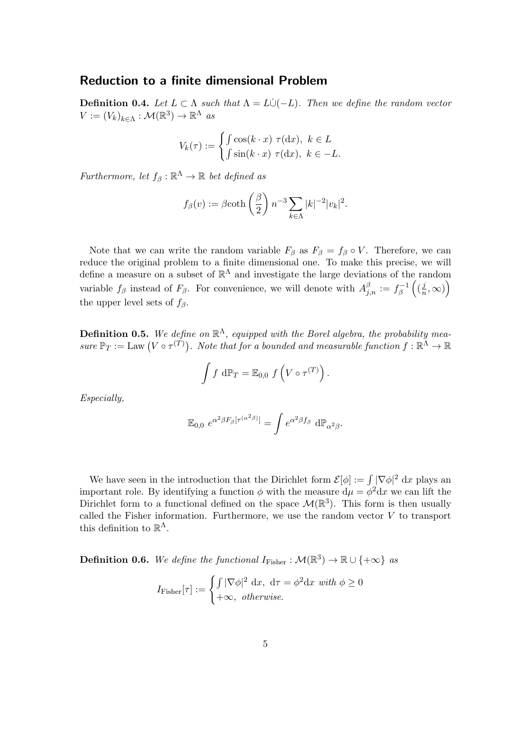### Reduction to a finite dimensional Problem

**Definition 0.4.** Let  $L \subset \Lambda$  such that  $\Lambda = L \dot{\cup} (-L)$ . Then we define the random vector  $V := (V_k)_{k \in \Lambda} : \mathcal{M}(\mathbb{R}^3) \to \mathbb{R}^\Lambda$  as

$$
V_k(\tau) := \begin{cases} \int \cos(k \cdot x) \ \tau(\mathrm{d}x), \ k \in L \\ \int \sin(k \cdot x) \ \tau(\mathrm{d}x), \ k \in -L. \end{cases}
$$

Furthermore, let  $f_\beta : \mathbb{R}^{\Lambda} \to \mathbb{R}$  bet defined as

$$
f_{\beta}(v) := \beta \coth\left(\frac{\beta}{2}\right) n^{-3} \sum_{k \in \Lambda} |k|^{-2} |v_k|^2.
$$

Note that we can write the random variable  $F_\beta$  as  $F_\beta = f_\beta \circ V$ . Therefore, we can reduce the original problem to a finite dimensional one. To make this precise, we will define a measure on a subset of  $\mathbb{R}^{\Lambda}$  and investigate the large deviations of the random variable  $f_\beta$  instead of  $F_\beta$ . For convenience, we will denote with  $A_{j,n}^\beta := f_\beta^{-1}$  $\int_{\beta}^{-1} \left( \left( \frac{j}{n} \right)$  $\frac{j}{n}, \infty)$ the upper level sets of  $f_\beta$ .

**Definition 0.5.** We define on  $\mathbb{R}^{\Lambda}$ , equipped with the Borel algebra, the probability measure  $\mathbb{P}_T := \text{Law}(V \circ \tau^{(T)})$ . Note that for a bounded and measurable function  $f : \mathbb{R}^{\Lambda} \to \mathbb{R}$ 

$$
\int f \, d\mathbb{P}_T = \mathbb{E}_{0,0} \, f\left(V \circ \tau^{(T)}\right).
$$

Especially,

$$
\mathbb{E}_{0,0} e^{\alpha^2 \beta F_\beta[\tau^{(\alpha^2 \beta)}]} = \int e^{\alpha^2 \beta f_\beta} d\mathbb{P}_{\alpha^2 \beta}.
$$

We have seen in the introduction that the Dirichlet form  $\mathcal{E}[\phi] := \int |\nabla \phi|^2 dx$  plays and important role. By identifying a function  $\phi$  with the measure  $d\mu = \phi^2 dx$  we can lift the Dirichlet form to a functional defined on the space  $\mathcal{M}(\mathbb{R}^3)$ . This form is then usually called the Fisher information. Furthermore, we use the random vector  $V$  to transport this definition to  $\mathbb{R}^{\Lambda}$ .

**Definition 0.6.** We define the functional  $I_{\text{Fisher}} : \mathcal{M}(\mathbb{R}^3) \to \mathbb{R} \cup \{+\infty\}$  as

$$
I_{\text{Fisher}}[\tau] := \begin{cases} \int |\nabla \phi|^2 \, \mathrm{d}x, \ \mathrm{d}\tau = \phi^2 \mathrm{d}x \ \text{with } \phi \ge 0\\ +\infty, \ \text{otherwise.} \end{cases}
$$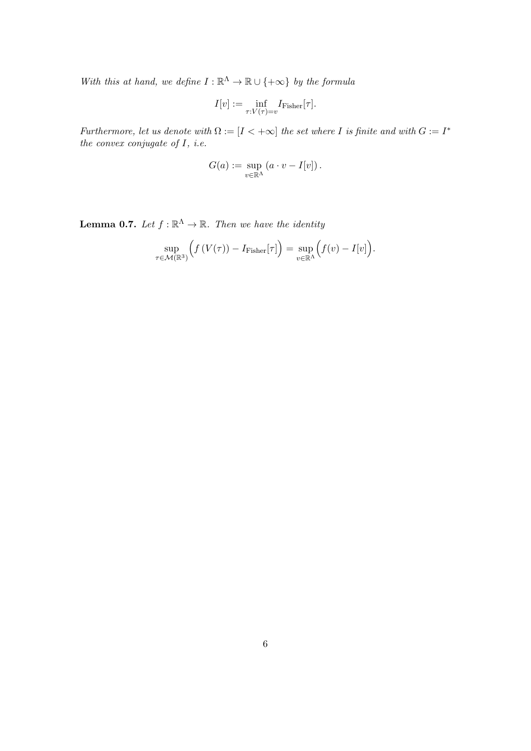With this at hand, we define  $I : \mathbb{R}^{\Lambda} \to \mathbb{R} \cup \{+\infty\}$  by the formula

$$
I[v] := \inf_{\tau: V(\tau) = v} I_{\text{Fisher}}[\tau].
$$

Furthermore, let us denote with  $\Omega := [I \lt +\infty]$  the set where I is finite and with  $G := I^*$ the convex conjugate of  $I$ , *i.e.* 

$$
G(a) := \sup_{v \in \mathbb{R}^{\Lambda}} (a \cdot v - I[v]).
$$

**Lemma 0.7.** Let  $f : \mathbb{R}^{\Lambda} \to \mathbb{R}$ . Then we have the identity

$$
\sup_{\tau \in \mathcal{M}(\mathbb{R}^3)} \Big( f(V(\tau)) - I_{\text{Fisher}}[\tau] \Big) = \sup_{v \in \mathbb{R}^3} \Big( f(v) - I[v] \Big).
$$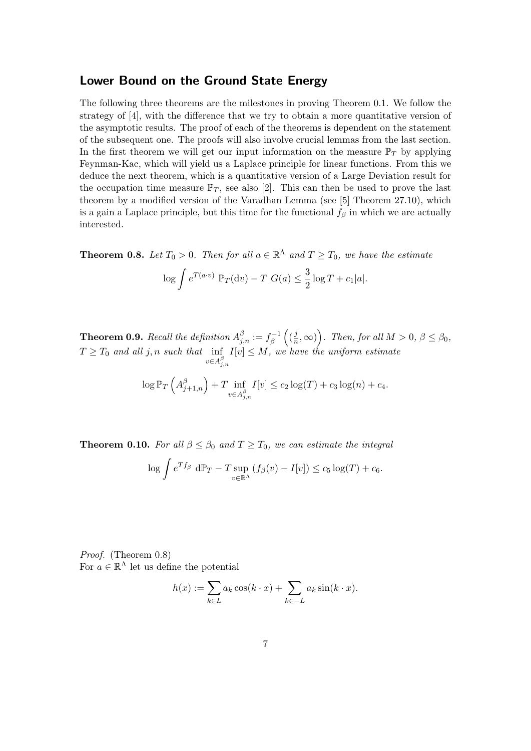### Lower Bound on the Ground State Energy

The following three theorems are the milestones in proving Theorem 0.1. We follow the strategy of [4], with the difference that we try to obtain a more quantitative version of the asymptotic results. The proof of each of the theorems is dependent on the statement of the subsequent one. The proofs will also involve crucial lemmas from the last section. In the first theorem we will get our input information on the measure  $\mathbb{P}_T$  by applying Feynman-Kac, which will yield us a Laplace principle for linear functions. From this we deduce the next theorem, which is a quantitative version of a Large Deviation result for the occupation time measure  $\mathbb{P}_T$ , see also [2]. This can then be used to prove the last theorem by a modified version of the Varadhan Lemma (see [5] Theorem 27.10), which is a gain a Laplace principle, but this time for the functional  $f_\beta$  in which we are actually interested.

**Theorem 0.8.** Let  $T_0 > 0$ . Then for all  $a \in \mathbb{R}^{\Lambda}$  and  $T \geq T_0$ , we have the estimate

$$
\log \int e^{T(a \cdot v)} \mathbb{P}_T(\mathrm{d}v) - T \ G(a) \le \frac{3}{2} \log T + c_1 |a|.
$$

**Theorem 0.9.** Recall the definition  $A_{j,n}^{\beta} := f_{\beta}^{-1}$  $\int_{\beta}^{1-1} \left( \left( \frac{j}{n} \right)$  $(\frac{j}{n}, \infty)$ . Then, for all  $M > 0$ ,  $\beta \leq \beta_0$ ,  $T \geq T_0$  and all j, n such that inf  $v \in A^{\beta}_{j,n}$  $I[v] \leq M$ , we have the uniform estimate

$$
\log \mathbb{P}_T \left( A_{j+1,n}^\beta \right) + T \inf_{v \in A_{j,n}^\beta} I[v] \le c_2 \log(T) + c_3 \log(n) + c_4.
$$

**Theorem 0.10.** For all  $\beta \leq \beta_0$  and  $T \geq T_0$ , we can estimate the integral

$$
\log \int e^{Tf_\beta} d\mathbb{P}_T - T \sup_{v \in \mathbb{R}^\Lambda} (f_\beta(v) - I[v]) \le c_5 \log(T) + c_6.
$$

Proof. (Theorem 0.8) For  $a \in \mathbb{R}^{\Lambda}$  let us define the potential

$$
h(x) := \sum_{k \in L} a_k \cos(k \cdot x) + \sum_{k \in -L} a_k \sin(k \cdot x).
$$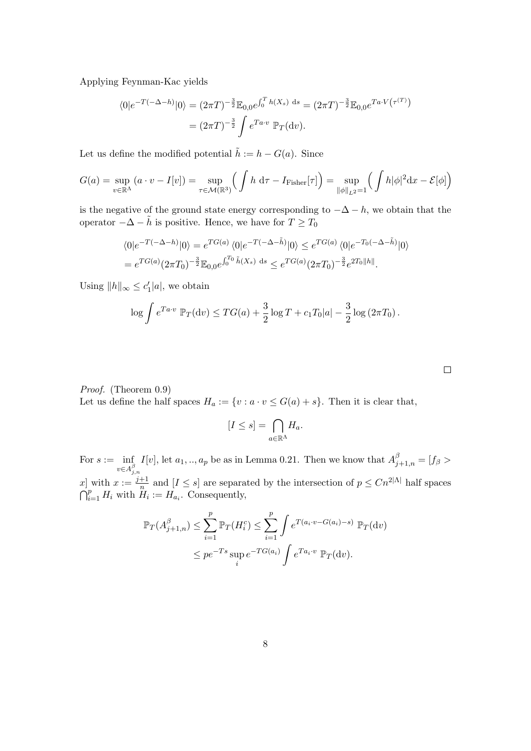Applying Feynman-Kac yields

$$
\langle 0|e^{-T(-\Delta-h)}|0\rangle = (2\pi T)^{-\frac{3}{2}}\mathbb{E}_{0,0}e^{\int_0^T h(X_s) ds} = (2\pi T)^{-\frac{3}{2}}\mathbb{E}_{0,0}e^{T a \cdot V(\tau^{(T)})}
$$

$$
= (2\pi T)^{-\frac{3}{2}} \int e^{T a \cdot v} \mathbb{P}_T(\mathrm{d}v).
$$

Let us define the modified potential  $\tilde{h} := h - G(a)$ . Since

$$
G(a) = \sup_{v \in \mathbb{R}^{\Lambda}} (a \cdot v - I[v]) = \sup_{\tau \in \mathcal{M}(\mathbb{R}^3)} \left( \int h \, d\tau - I_{\text{Fisher}}[\tau] \right) = \sup_{\|\phi\|_{L^2} = 1} \left( \int h|\phi|^2 dx - \mathcal{E}[\phi] \right)
$$

is the negative of the ground state energy corresponding to  $-\Delta - h$ , we obtain that the operator  $-\Delta - \tilde{h}$  is positive. Hence, we have for  $T \geq T_0$ 

$$
\langle 0|e^{-T(-\Delta-h)}|0\rangle = e^{TG(a)} \langle 0|e^{-T(-\Delta-\tilde{h})}|0\rangle \le e^{TG(a)} \langle 0|e^{-T_0(-\Delta-\tilde{h})}|0\rangle
$$
  
=  $e^{TG(a)}(2\pi T_0)^{-\frac{3}{2}}\mathbb{E}_{0,0}e^{\int_0^{T_0}\tilde{h}(X_s) ds} \le e^{TG(a)}(2\pi T_0)^{-\frac{3}{2}}e^{2T_0||h||}.$ 

Using  $||h||_{\infty} \leq c_1' |a|$ , we obtain

$$
\log \int e^{T a \cdot v} \, \mathbb{P}_T(\mathrm{d}v) \le TG(a) + \frac{3}{2} \log T + c_1 T_0 |a| - \frac{3}{2} \log \left(2\pi T_0\right).
$$

Proof. (Theorem 0.9)

Let us define the half spaces  $H_a := \{v : a \cdot v \leq G(a) + s\}$ . Then it is clear that,

$$
[I \leq s] = \bigcap_{a \in \mathbb{R}^{\Lambda}} H_a.
$$

For  $s := \inf$  $v \in A^{\beta}_{j,n}$ I[v], let  $a_1, ..., a_p$  be as in Lemma 0.21. Then we know that  $A_{j+1,n}^{\beta} = [f_{\beta} >$ x | with  $x := \frac{j+1}{n}$  $\frac{+1}{n}$  and  $[I \leq s]$  are separated by the intersection of  $p \leq C n^{2|\Lambda|}$  half spaces  $\bigcap_{i=1}^p H_i$  with  $H_i := H_{a_i}$ . Consequently,

$$
\mathbb{P}_T(A_{j+1,n}^{\beta}) \le \sum_{i=1}^p \mathbb{P}_T(H_i^c) \le \sum_{i=1}^p \int e^{T(a_i \cdot v - G(a_i) - s)} \mathbb{P}_T(\mathrm{d}v)
$$
  

$$
\le p e^{-Ts} \sup_i e^{-TG(a_i)} \int e^{Ta_i \cdot v} \mathbb{P}_T(\mathrm{d}v).
$$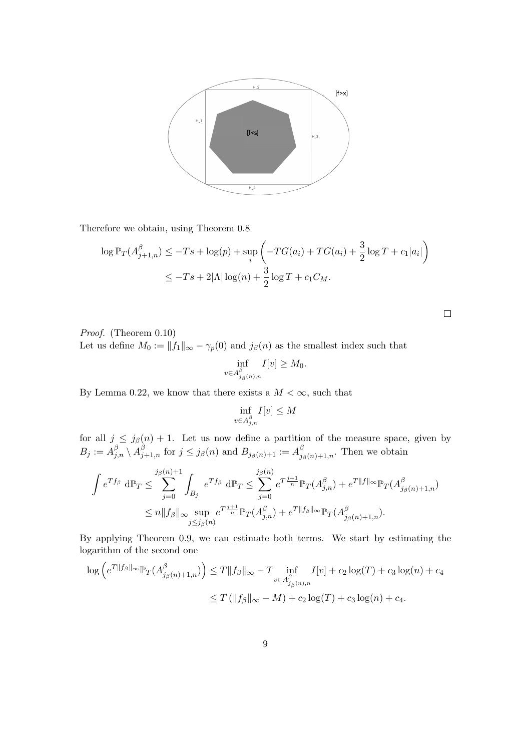

Therefore we obtain, using Theorem 0.8

$$
\log \mathbb{P}_T(A_{j+1,n}^{\beta}) \le -Ts + \log(p) + \sup_i \left( -TG(a_i) + TG(a_i) + \frac{3}{2}\log T + c_1|a_i| \right)
$$
  

$$
\le -Ts + 2|\Lambda|\log(n) + \frac{3}{2}\log T + c_1C_M.
$$

Proof. (Theorem 0.10)

Let us define  $M_0 := ||f_1||_{\infty} - \gamma_p(0)$  and  $j_\beta(n)$  as the smallest index such that

$$
\inf_{v \in A^{\beta}_{j_{\beta}(n),n}} I[v] \geq M_0.
$$

By Lemma 0.22, we know that there exists a  $M < \infty$ , such that

$$
\inf_{v \in A^{\beta}_{j,n}} I[v] \leq M
$$

for all  $j \leq j_{\beta}(n) + 1$ . Let us now define a partition of the measure space, given by  $B_j := A_{j,n}^{\beta} \setminus A_{j+1,n}^{\beta}$  for  $j \leq j_{\beta}(n)$  and  $B_{j_{\beta}(n)+1} := A_j^{\beta}$  $\int_{\beta(n)+1,n}^{\beta}$ . Then we obtain

$$
\int e^{Tf_{\beta}} d\mathbb{P}_{T} \leq \sum_{j=0}^{j_{\beta}(n)+1} \int_{B_{j}} e^{Tf_{\beta}} d\mathbb{P}_{T} \leq \sum_{j=0}^{j_{\beta}(n)} e^{T\frac{j+1}{n}} \mathbb{P}_{T}(A^{\beta}_{j,n}) + e^{T||f||_{\infty}} \mathbb{P}_{T}(A^{\beta}_{j_{\beta}(n)+1,n})
$$
  

$$
\leq n||f_{\beta}||_{\infty} \sup_{j \leq j_{\beta}(n)} e^{T\frac{j+1}{n}} \mathbb{P}_{T}(A^{\beta}_{j,n}) + e^{T||f_{\beta}||_{\infty}} \mathbb{P}_{T}(A^{\beta}_{j_{\beta}(n)+1,n}).
$$

By applying Theorem 0.9, we can estimate both terms. We start by estimating the logarithm of the second one

$$
\log \left( e^{T \| f_{\beta} \|_{\infty}} \mathbb{P}_T(A_{j_{\beta}(n)+1,n}^{\beta}) \right) \le T \| f_{\beta} \|_{\infty} - T \inf_{v \in A_{j_{\beta}(n),n}^{\beta}} I[v] + c_2 \log(T) + c_3 \log(n) + c_4
$$
  

$$
\le T (\| f_{\beta} \|_{\infty} - M) + c_2 \log(T) + c_3 \log(n) + c_4.
$$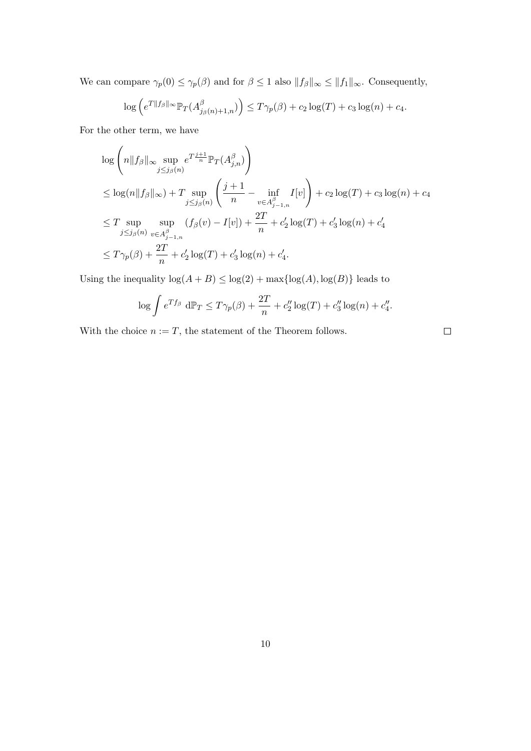We can compare  $\gamma_p(0) \leq \gamma_p(\beta)$  and for  $\beta \leq 1$  also  $||f_\beta||_\infty \leq ||f_1||_\infty$ . Consequently,

$$
\log \left( e^{T||f_{\beta}||_{\infty}} \mathbb{P}_T(A^{\beta}_{j_{\beta}(n)+1,n}) \right) \leq T\gamma_p(\beta) + c_2 \log(T) + c_3 \log(n) + c_4.
$$

For the other term, we have

$$
\log \left( n \|f_{\beta}\|_{\infty} \sup_{j \leq j_{\beta}(n)} e^{T \frac{j+1}{n} \mathbb{P}_{T}(A_{j,n}^{\beta})} \right)
$$
\n
$$
\leq \log(n \|f_{\beta}\|_{\infty}) + T \sup_{j \leq j_{\beta}(n)} \left( \frac{j+1}{n} - \inf_{v \in A_{j-1,n}^{\beta}} I[v] \right) + c_{2} \log(T) + c_{3} \log(n) + c_{4}
$$
\n
$$
\leq T \sup_{j \leq j_{\beta}(n)} \sup_{v \in A_{j-1,n}^{\beta}} (f_{\beta}(v) - I[v]) + \frac{2T}{n} + c_{2}' \log(T) + c_{3}' \log(n) + c_{4}'
$$
\n
$$
\leq T\gamma_{p}(\beta) + \frac{2T}{n} + c_{2}' \log(T) + c_{3}' \log(n) + c_{4}'.
$$

Using the inequality  $\log(A + B) \leq \log(2) + \max\{\log(A), \log(B)\}\)$  leads to

$$
\log \int e^{Tf_{\beta}} d\mathbb{P}_{T} \le T\gamma_{p}(\beta) + \frac{2T}{n} + c_{2}'' \log(T) + c_{3}'' \log(n) + c_{4}''.
$$

With the choice  $n := T$ , the statement of the Theorem follows.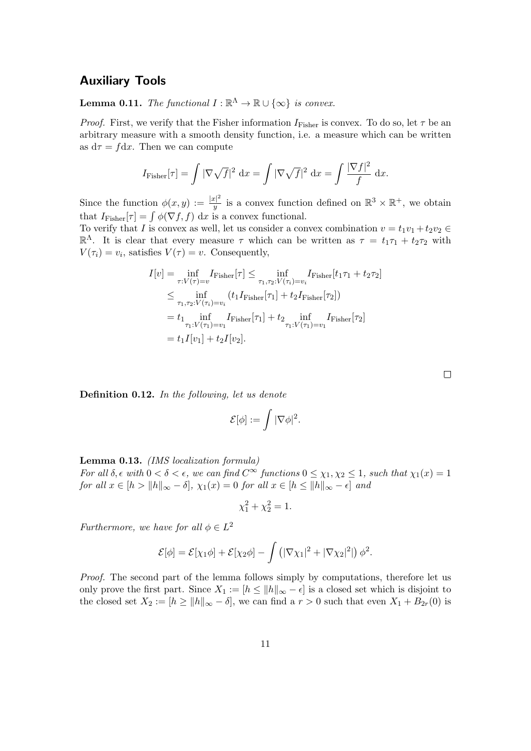# Auxiliary Tools

**Lemma 0.11.** The functional  $I : \mathbb{R}^{\Lambda} \to \mathbb{R} \cup \{\infty\}$  is convex.

*Proof.* First, we verify that the Fisher information  $I_{\text{Fisher}}$  is convex. To do so, let  $\tau$  be an arbitrary measure with a smooth density function, i.e. a measure which can be written as  $d\tau = f dx$ . Then we can compute

$$
I_{\text{Fisher}}[\tau] = \int |\nabla \sqrt{f}|^2 \, \mathrm{d}x = \int |\nabla \sqrt{f}|^2 \, \mathrm{d}x = \int \frac{|\nabla f|^2}{f} \, \mathrm{d}x.
$$

Since the function  $\phi(x,y) := \frac{|x|^2}{|y|}$  $\frac{|x|^2}{y}$  is a convex function defined on  $\mathbb{R}^3 \times \mathbb{R}^+$ , we obtain that  $I_{\text{Fisher}}[\tau] = \int \phi(\nabla f, f) \, dx$  is a convex functional.

To verify that I is convex as well, let us consider a convex combination  $v = t_1v_1 + t_2v_2 \in$  $\mathbb{R}^{\Lambda}$ . It is clear that every measure τ which can be written as  $\tau = t_1 \tau_1 + t_2 \tau_2$  with  $V(\tau_i) = v_i$ , satisfies  $V(\tau) = v$ . Consequently,

$$
I[v] = \inf_{\tau:V(\tau)=v} I_{\text{Fisher}}[\tau] \le \inf_{\tau_1,\tau_2:V(\tau_i)=v_i} I_{\text{Fisher}}[t_1\tau_1+t_2\tau_2]
$$
  
\n
$$
\le \inf_{\tau_1,\tau_2:V(\tau_i)=v_i} (t_1I_{\text{Fisher}}[\tau_1]+t_2I_{\text{Fisher}}[\tau_2])
$$
  
\n
$$
= t_1 \inf_{\tau_1:V(\tau_1)=v_1} I_{\text{Fisher}}[\tau_1]+t_2 \inf_{\tau_1:V(\tau_1)=v_1} I_{\text{Fisher}}[\tau_2]
$$
  
\n
$$
= t_1I[v_1]+t_2I[v_2].
$$

Definition 0.12. In the following, let us denote

$$
\mathcal{E}[\phi] := \int |\nabla \phi|^2.
$$

Lemma 0.13. (IMS localization formula) For all  $\delta$ ,  $\epsilon$  with  $0 < \delta < \epsilon$ , we can find  $C^{\infty}$  functions  $0 \leq \chi_1, \chi_2 \leq 1$ , such that  $\chi_1(x) = 1$ for all  $x \in [h > ||h||_{\infty} - \delta]$ ,  $\chi_1(x) = 0$  for all  $x \in [h \le ||h||_{\infty} - \epsilon]$  and

$$
\chi_1^2 + \chi_2^2 = 1.
$$

Furthermore, we have for all  $\phi \in L^2$ 

$$
\mathcal{E}[\phi] = \mathcal{E}[\chi_1 \phi] + \mathcal{E}[\chi_2 \phi] - \int \left( |\nabla \chi_1|^2 + |\nabla \chi_2|^2| \right) \phi^2.
$$

Proof. The second part of the lemma follows simply by computations, therefore let us only prove the first part. Since  $X_1 := [h \le ||h||_{\infty} - \epsilon]$  is a closed set which is disjoint to the closed set  $X_2 := [h \ge ||h||_{\infty} - \delta]$ , we can find a  $r > 0$  such that even  $X_1 + B_{2r}(0)$  is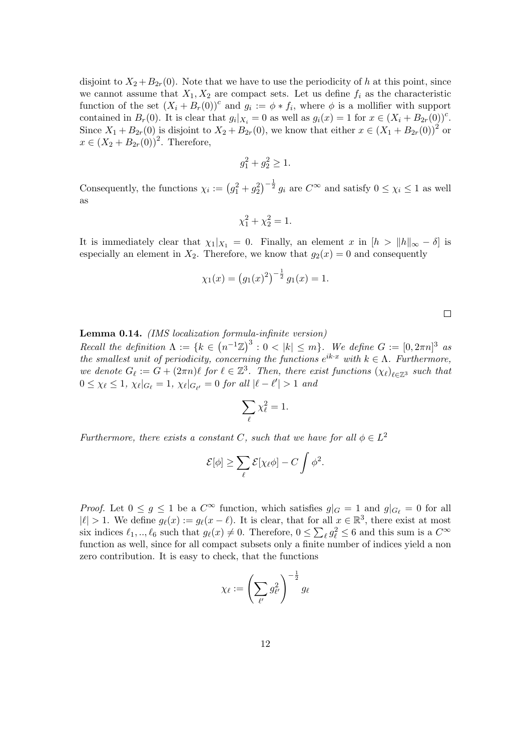disjoint to  $X_2 + B_{2r}(0)$ . Note that we have to use the periodicity of h at this point, since we cannot assume that  $X_1, X_2$  are compact sets. Let us define  $f_i$  as the characteristic function of the set  $(X_i + B_r(0))^c$  and  $g_i := \phi * f_i$ , where  $\phi$  is a mollifier with support contained in  $B_r(0)$ . It is clear that  $g_i|_{X_i} = 0$  as well as  $g_i(x) = 1$  for  $x \in (X_i + B_{2r}(0))^c$ . Since  $X_1 + B_{2r}(0)$  is disjoint to  $X_2 + B_{2r}(0)$ , we know that either  $x \in (X_1 + B_{2r}(0))^2$  or  $x \in (X_2 + B_{2r}(0))^2$ . Therefore,

$$
g_1^2 + g_2^2 \ge 1.
$$

Consequently, the functions  $\chi_i := (g_1^2 + g_2^2)^{-\frac{1}{2}} g_i$  are  $C^{\infty}$  and satisfy  $0 \leq \chi_i \leq 1$  as well as

$$
\chi_1^2 + \chi_2^2 = 1.
$$

It is immediately clear that  $\chi_1|_{X_1} = 0$ . Finally, an element x in  $|h|_{\infty} - \delta|$  is especially an element in  $X_2$ . Therefore, we know that  $g_2(x) = 0$  and consequently

$$
\chi_1(x) = (g_1(x)^2)^{-\frac{1}{2}} g_1(x) = 1.
$$

Lemma 0.14. (IMS localization formula-infinite version)

Recall the definition  $\Lambda := \{k \in (n^{-1}\mathbb{Z})^3 : 0 < |k| \leq m\}$ . We define  $G := [0, 2\pi n]^3$  as the smallest unit of periodicity, concerning the functions  $e^{ik\cdot x}$  with  $k \in \Lambda$ . Furthermore, we denote  $G_\ell := G + (2\pi n)\ell$  for  $\ell \in \mathbb{Z}^3$ . Then, there exist functions  $(\chi_\ell)_{\ell \in \mathbb{Z}^3}$  such that  $0 \leq \chi_{\ell} \leq 1$ ,  $\chi_{\ell}|_{G_{\ell}} = 1$ ,  $\chi_{\ell}|_{G_{\ell'}} = 0$  for all  $|\ell - \ell'| > 1$  and

$$
\sum_{\ell} \chi_{\ell}^2 = 1.
$$

Furthermore, there exists a constant C, such that we have for all  $\phi \in L^2$ 

$$
\mathcal{E}[\phi] \ge \sum_{\ell} \mathcal{E}[\chi_{\ell} \phi] - C \int \phi^2.
$$

*Proof.* Let  $0 \le g \le 1$  be a  $C^{\infty}$  function, which satisfies  $g|_G = 1$  and  $g|_{G_{\ell}} = 0$  for all  $|\ell| > 1$ . We define  $g_{\ell}(x) := g_{\ell}(x - \ell)$ . It is clear, that for all  $x \in \mathbb{R}^3$ , there exist at most six indices  $\ell_1, ..., \ell_6$  such that  $g_\ell(x) \neq 0$ . Therefore,  $0 \le \sum_{\ell} g_{\ell}^2 \le 6$  and this sum is a  $C^{\infty}$ function as well, since for all compact subsets only a finite number of indices yield a non zero contribution. It is easy to check, that the functions

$$
\chi_\ell := \left(\sum_{\ell'} g_{\ell'}^2\right)^{-\frac{1}{2}} g_\ell
$$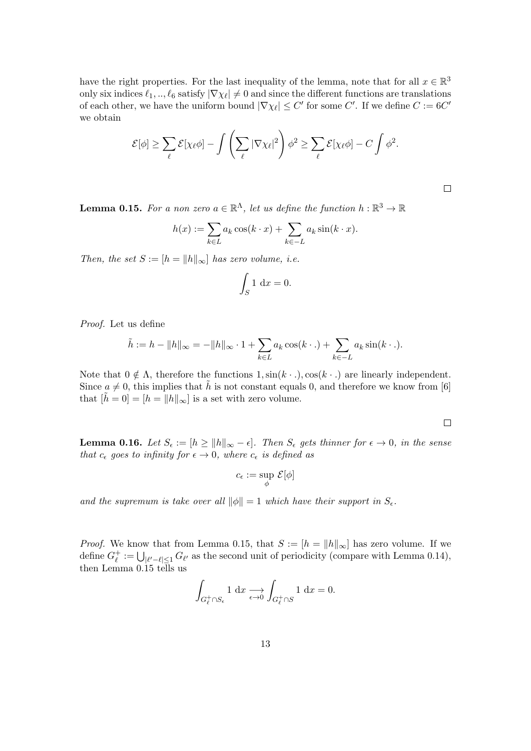have the right properties. For the last inequality of the lemma, note that for all  $x \in \mathbb{R}^3$ only six indices  $\ell_1, ..., \ell_6$  satisfy  $|\nabla \chi_\ell| \neq 0$  and since the different functions are translations of each other, we have the uniform bound  $|\nabla \chi_{\ell}| \leq C'$  for some C'. If we define  $C := 6C'$ we obtain

$$
\mathcal{E}[\phi] \geq \sum_{\ell} \mathcal{E}[\chi_{\ell}\phi] - \int \left(\sum_{\ell} |\nabla \chi_{\ell}|^2\right) \phi^2 \geq \sum_{\ell} \mathcal{E}[\chi_{\ell}\phi] - C \int \phi^2.
$$

**Lemma 0.15.** For a non zero  $a \in \mathbb{R}^{\Lambda}$ , let us define the function  $h : \mathbb{R}^3 \to \mathbb{R}$ 

$$
h(x) := \sum_{k \in L} a_k \cos(k \cdot x) + \sum_{k \in -L} a_k \sin(k \cdot x).
$$

Then, the set  $S := [h = ||h||_{\infty}]$  has zero volume, i.e.

$$
\int_{S} 1 \, \mathrm{d}x = 0.
$$

Proof. Let us define

$$
\tilde{h} := h - \|h\|_{\infty} = -\|h\|_{\infty} \cdot 1 + \sum_{k \in L} a_k \cos(k \cdot .) + \sum_{k \in -L} a_k \sin(k \cdot .).
$$

Note that  $0 \notin \Lambda$ , therefore the functions  $1, \sin(k \cdot \cdot \cdot)$ ,  $\cos(k \cdot \cdot \cdot)$  are linearly independent. Since  $a \neq 0$ , this implies that  $\tilde{h}$  is not constant equals 0, and therefore we know from [6] that  $[\tilde{h} = 0] = [h = ||h||_{\infty}]$  is a set with zero volume.

 $\Box$ 

**Lemma 0.16.** Let  $S_{\epsilon} := [h \ge ||h||_{\infty} - \epsilon]$ . Then  $S_{\epsilon}$  gets thinner for  $\epsilon \to 0$ , in the sense that  $c_{\epsilon}$  goes to infinity for  $\epsilon \to 0$ , where  $c_{\epsilon}$  is defined as

$$
c_{\epsilon}:=\sup_{\phi}\,\mathcal{E}[\phi]
$$

and the supremum is take over all  $\|\phi\| = 1$  which have their support in  $S_{\epsilon}$ .

*Proof.* We know that from Lemma 0.15, that  $S := [h = ||h||_{\infty}]$  has zero volume. If we define  $G_{\ell}^+$  $\mathcal{L}^+_{\ell} := \bigcup_{|\ell' - \ell| \leq 1} G_{\ell'}$  as the second unit of periodicity (compare with Lemma 0.14), then Lemma  $0.15$  tells us

$$
\int_{G_{\ell}^+\cap S_{\epsilon}} 1 \, \mathrm{d}x \underset{\epsilon \to 0}{\longrightarrow} \int_{G_{\ell}^+\cap S} 1 \, \mathrm{d}x = 0.
$$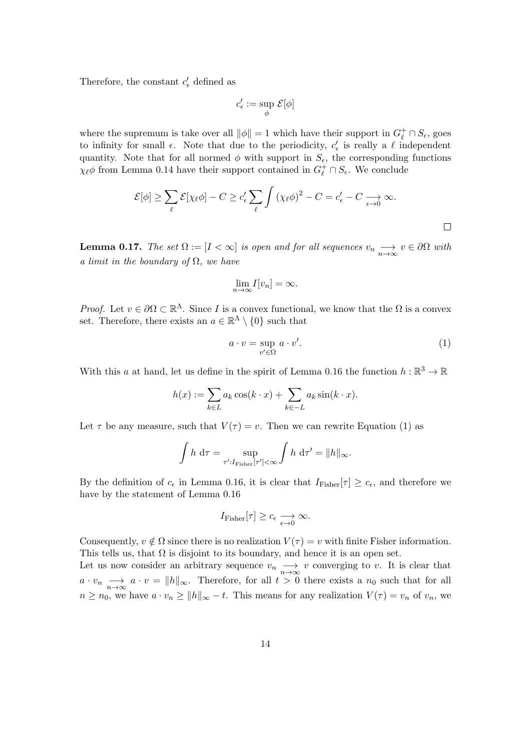Therefore, the constant  $c'_{\epsilon}$  defined as

$$
c_\epsilon':=\sup_\phi\,\mathcal{E}[\phi]
$$

where the supremum is take over all  $\|\phi\| = 1$  which have their support in  $G_{\ell}^+ \cap S_{\epsilon}$ , goes to infinity for small  $\epsilon$ . Note that due to the periodicity,  $c'_{\epsilon}$  is really a  $\ell$  independent quantity. Note that for all normed  $\phi$  with support in  $S_{\epsilon}$ , the corresponding functions  $\chi_{\ell} \phi$  from Lemma 0.14 have their support contained in  $G_{\ell}^+ \cap S_{\epsilon}$ . We conclude

$$
\mathcal{E}[\phi] \ge \sum_{\ell} \mathcal{E}[\chi_{\ell}\phi] - C \ge c_{\epsilon}' \sum_{\ell} \int (\chi_{\ell}\phi)^2 - C = c_{\epsilon}' - C \underset{\epsilon \to 0}{\longrightarrow} \infty.
$$

**Lemma 0.17.** The set  $\Omega := [I \lt \infty]$  is open and for all sequences  $v_n \longrightarrow v \in \partial \Omega$  with a limit in the boundary of  $\Omega$ , we have

$$
\lim_{n \to \infty} I[v_n] = \infty.
$$

*Proof.* Let  $v \in \partial\Omega \subset \mathbb{R}^{\Lambda}$ . Since I is a convex functional, we know that the  $\Omega$  is a convex set. Therefore, there exists an  $a \in \mathbb{R}^{\Lambda} \setminus \{0\}$  such that

$$
a \cdot v = \sup_{v' \in \Omega} a \cdot v'. \tag{1}
$$

With this a at hand, let us define in the spirit of Lemma 0.16 the function  $h : \mathbb{R}^3 \to \mathbb{R}$ 

$$
h(x) := \sum_{k \in L} a_k \cos(k \cdot x) + \sum_{k \in -L} a_k \sin(k \cdot x).
$$

Let  $\tau$  be any measure, such that  $V(\tau) = v$ . Then we can rewrite Equation (1) as

$$
\int h \, d\tau = \sup_{\tau':I_{\text{Fisher}}[\tau'] < \infty} \int h \, d\tau' = \|h\|_{\infty}.
$$

By the definition of  $c_{\epsilon}$  in Lemma 0.16, it is clear that  $I_{Fisher}[\tau] \geq c_{\epsilon}$ , and therefore we have by the statement of Lemma 0.16

$$
I_{\text{Fisher}}[\tau] \geq c_{\epsilon} \underset{\epsilon \to 0}{\longrightarrow} \infty.
$$

Consequently,  $v \notin \Omega$  since there is no realization  $V(\tau) = v$  with finite Fisher information. This tells us, that  $\Omega$  is disjoint to its boundary, and hence it is an open set.

Let us now consider an arbitrary sequence  $v_n \longrightarrow v$  converging to v. It is clear that  $a \cdot v_n \longrightarrow_{n \to \infty} a \cdot v = ||h||_{\infty}$ . Therefore, for all  $t > 0$  there exists a  $n_0$  such that for all  $n \geq n_0$ , we have  $a \cdot v_n \geq ||h||_{\infty} - t$ . This means for any realization  $V(\tau) = v_n$  of  $v_n$ , we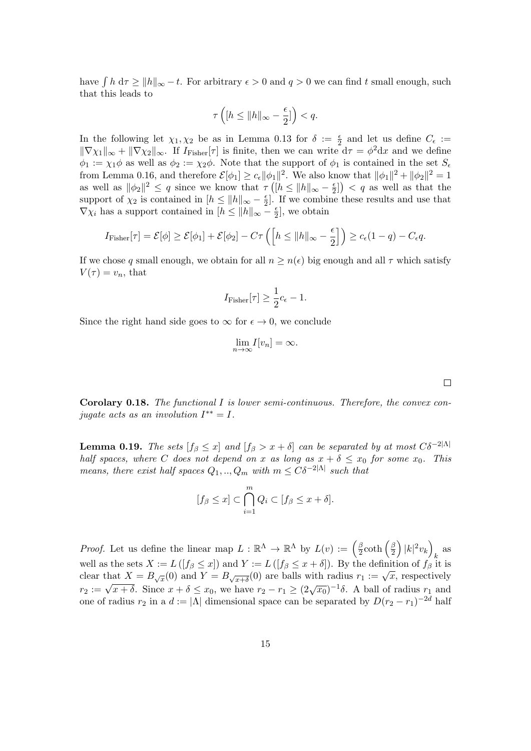have  $\int h d\tau \ge ||h||_{\infty} - t$ . For arbitrary  $\epsilon > 0$  and  $q > 0$  we can find t small enough, such that this leads to

$$
\tau\left([h \le ||h||_{\infty} - \frac{\epsilon}{2}]\right) < q.
$$

In the following let  $\chi_1, \chi_2$  be as in Lemma 0.13 for  $\delta := \frac{\epsilon}{2}$  and let us define  $C_{\epsilon} :=$  $\|\nabla \chi_1\|_{\infty} + \|\nabla \chi_2\|_{\infty}$ . If  $I_{\text{Fisher}}[\tau]$  is finite, then we can write  $d\tau = \phi^2 dx$  and we define  $\phi_1 := \chi_1 \phi$  as well as  $\phi_2 := \chi_2 \phi$ . Note that the support of  $\phi_1$  is contained in the set  $S_\epsilon$ from Lemma 0.16, and therefore  $\mathcal{E}[\phi_1] \geq c_{\epsilon} ||\phi_1||^2$ . We also know that  $||\phi_1||^2 + ||\phi_2||^2 = 1$ as well as  $\|\phi_2\|^2 \leq q$  since we know that  $\tau([h \leq ||h||_{\infty} - \frac{\epsilon}{2})$  $\left(\frac{\epsilon}{2}\right)$  < q as well as that the support of  $\chi_2$  is contained in  $[h \le ||h||_{\infty} - \frac{\epsilon}{2}]$  $\frac{\epsilon}{2}$ . If we combine these results and use that  $\nabla \chi_i$  has a support contained in  $[h \le ||h||_{\infty} - \frac{\epsilon}{2}]$  $\frac{\epsilon}{2}$ , we obtain

$$
I_{\text{Fisher}}[\tau] = \mathcal{E}[\phi] \ge \mathcal{E}[\phi_1] + \mathcal{E}[\phi_2] - C\tau \left( \left[ h \le \|h\|_{\infty} - \frac{\epsilon}{2} \right] \right) \ge c_{\epsilon}(1 - q) - C_{\epsilon}q.
$$

If we chose q small enough, we obtain for all  $n \geq n(\epsilon)$  big enough and all  $\tau$  which satisfy  $V(\tau) = v_n$ , that

$$
I_{\text{Fisher}}[\tau] \ge \frac{1}{2}c_{\epsilon} - 1.
$$

Since the right hand side goes to  $\infty$  for  $\epsilon \to 0$ , we conclude

$$
\lim_{n \to \infty} I[v_n] = \infty.
$$

**Corolary 0.18.** The functional I is lower semi-continuous. Therefore, the convex conjugate acts as an involution  $I^{**} = I$ .

**Lemma 0.19.** The sets  $[f_\beta \leq x]$  and  $[f_\beta > x + \delta]$  can be separated by at most  $C\delta^{-2|\Lambda|}$ half spaces, where C does not depend on x as long as  $x + \delta \leq x_0$  for some  $x_0$ . This means, there exist half spaces  $Q_1, ..., Q_m$  with  $m \leq C\delta^{-2|\Lambda|}$  such that

$$
[f_{\beta} \leq x] \subset \bigcap_{i=1}^{m} Q_i \subset [f_{\beta} \leq x + \delta].
$$

*Proof.* Let us define the linear map  $L : \mathbb{R}^{\Lambda} \to \mathbb{R}^{\Lambda}$  by  $L(v) := \left(\frac{\beta}{2}\right)^{\Lambda}$  $\frac{\beta}{2}$ coth  $\left(\frac{\beta}{2}\right)$  $\frac{\beta}{2}\Big)\,|k|^2v_k\Big)$ k as well as the sets  $X := L([f_\beta \leq x])$  and  $Y := L([f_\beta \leq x + \delta])$ . By the definition of  $f_\beta$  it is wen as the sets  $X := L(1/\beta \leq x)$  and  $T := L(1/\beta \leq x + \delta)$ . By the definition of  $f\beta$  it is<br>clear that  $X = B_{\sqrt{x}}(0)$  and  $Y = B_{\sqrt{x+\delta}}(0)$  are balls with radius  $r_1 := \sqrt{x}$ , respectively  $r_2 := \sqrt{x + \delta}$ . Since  $x + \delta \le x_0$ , we have  $r_2 - r_1 \ge (2\sqrt{x_0})^{-1}\delta$ . A ball of radius  $r_1$  and one of radius  $r_2$  in a  $d := |\Lambda|$  dimensional space can be separated by  $D(r_2 - r_1)^{-2d}$  half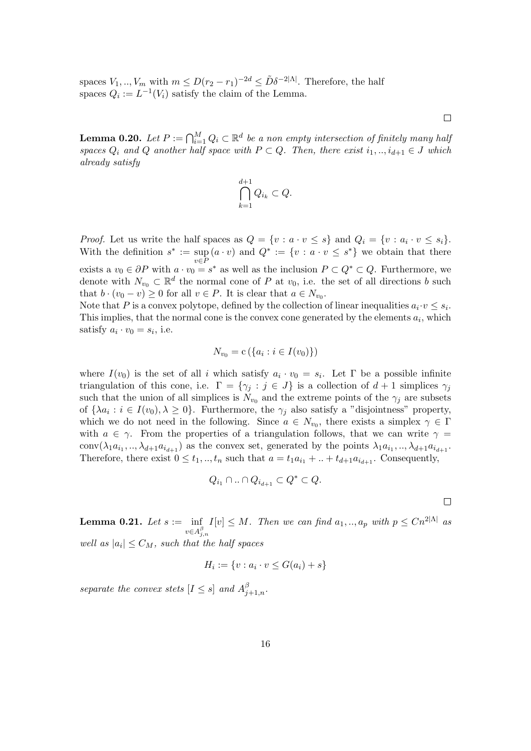spaces  $V_1, ..., V_m$  with  $m \le D(r_2 - r_1)^{-2d} \le \tilde{D}\delta^{-2|\Lambda|}$ . Therefore, the half spaces  $Q_i := L^{-1}(V_i)$  satisfy the claim of the Lemma.

**Lemma 0.20.** Let  $P := \bigcap_{i=1}^{M} Q_i \subset \mathbb{R}^d$  be a non empty intersection of finitely many halj spaces  $Q_i$  and  $Q$  another half space with  $P \subset Q$ . Then, there exist  $i_1, ..., i_{d+1} \in J$  which already satisfy

$$
\bigcap_{k=1}^{d+1} Q_{i_k} \subset Q.
$$

*Proof.* Let us write the half spaces as  $Q = \{v : a \cdot v \leq s\}$  and  $Q_i = \{v : a_i \cdot v \leq s_i\}.$ With the definition  $s^* := \sup(a \cdot v)$  and  $Q^* := \{v : a \cdot v \leq s^*\}$  we obtain that there exists a  $v_0 \in \partial P$  with  $a \cdot v_0 = s^*$  as well as the inclusion  $P \subset Q^* \subset Q$ . Furthermore, we denote with  $N_{v_0} \subset \mathbb{R}^d$  the normal cone of P at  $v_0$ , i.e. the set of all directions b such that  $b \cdot (v_0 - v) \ge 0$  for all  $v \in P$ . It is clear that  $a \in N_{v_0}$ .

Note that P is a convex polytope, defined by the collection of linear inequalities  $a_i \cdot v \leq s_i$ . This implies, that the normal cone is the convex cone generated by the elements  $a_i$ , which satisfy  $a_i \cdot v_0 = s_i$ , i.e.

$$
N_{v_0} = c \left( \{ a_i : i \in I(v_0) \} \right)
$$

where  $I(v_0)$  is the set of all i which satisfy  $a_i \cdot v_0 = s_i$ . Let  $\Gamma$  be a possible infinite triangulation of this cone, i.e.  $\Gamma = \{\gamma_i : j \in J\}$  is a collection of  $d+1$  simplices  $\gamma_i$ such that the union of all simplices is  $N_{v_0}$  and the extreme points of the  $\gamma_j$  are subsets of  $\{\lambda a_i : i \in I(v_0), \lambda \geq 0\}$ . Furthermore, the  $\gamma_j$  also satisfy a "disjointness" property, which we do not need in the following. Since  $a \in N_{v_0}$ , there exists a simplex  $\gamma \in \Gamma$ with  $a \in \gamma$ . From the properties of a triangulation follows, that we can write  $\gamma =$ conv $(\lambda_1 a_{i_1}, ..., \lambda_{d+1} a_{i_{d+1}})$  as the convex set, generated by the points  $\lambda_1 a_{i_1}, ..., \lambda_{d+1} a_{i_{d+1}}$ . Therefore, there exist  $0 \leq t_1, \ldots, t_n$  such that  $a = t_1 a_{i_1} + \ldots + t_{d+1} a_{i_{d+1}}$ . Consequently,

$$
Q_{i_1} \cap \ldots \cap Q_{i_{d+1}} \subset Q^* \subset Q.
$$

 $\Box$ 

**Lemma 0.21.** Let  $s := \inf$  $v \in A^{\beta}_{j,n}$  $I[v] \leq M$ . Then we can find  $a_1, ..., a_p$  with  $p \leq C n^{2|\Lambda|}$  as well as  $|a_i| \leq C_M$ , such that the half spaces

$$
H_i := \{v : a_i \cdot v \le G(a_i) + s\}
$$

separate the convex stets  $[I \leq s]$  and  $A_{j+1,n}^{\beta}$ .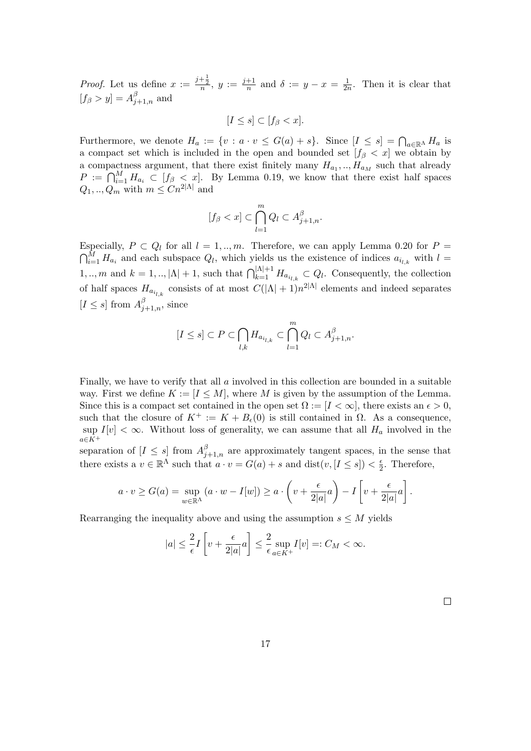*Proof.* Let us define  $x := \frac{j+\frac{1}{2}}{n}$ ,  $y := \frac{j+1}{n}$  $\frac{+1}{n}$  and  $\delta := y - x = \frac{1}{2n}$  $\frac{1}{2n}$ . Then it is clear that  $[f_\beta > y] = A_{j+1,n}^\beta$  and

$$
[I \le s] \subset [f_\beta < x].
$$

Furthermore, we denote  $H_a := \{v : a \cdot v \leq G(a) + s\}$ . Since  $[I \leq s] = \bigcap_{a \in \mathbb{R}^{\Lambda}} H_a$  is a compact set which is included in the open and bounded set  $[f_\beta < x]$  we obtain by a compactness argument, that there exist finitely many  $H_{a_1},...,H_{a_M}$  such that already  $P := \bigcap_{i=1}^M H_{a_i} \subset [f_\beta < x].$  By Lemma 0.19, we know that there exist half spaces  $Q_1, ..., Q_m$  with  $m \leq C n^{2|\Lambda|}$  and

$$
[f_{\beta} < x] \subset \bigcap_{l=1}^{m} Q_{l} \subset A_{j+1,n}^{\beta}.
$$

Especially,  $P \subset Q_l$  for all  $l = 1, ..., m$ . Therefore, we can apply Lemma 0.20 for  $P =$  $\bigcap_{i=1}^M H_{a_i}$  and each subspace  $Q_l$ , which yields us the existence of indices  $a_{i_{l,k}}$  with  $l =$ 1, .., m and  $k = 1, \dots, |\Lambda| + 1$ , such that  $\bigcap_{k=1}^{|\Lambda|+1} H_{a_{i_{l,k}}} \subset Q_l$ . Consequently, the collection of half spaces  $H_{a_{i_{l,k}}}$  consists of at most  $C(|\Lambda|+1)n^{2|\Lambda|}$  elements and indeed separates  $[I \leq s]$  from  $A^{\beta}_{j+1,n}$ , since

$$
[I \leq s] \subset P \subset \bigcap_{l,k} H_{a_{i_{l,k}}} \subset \bigcap_{l=1}^{m} Q_l \subset A_{j+1,n}^{\beta}.
$$

Finally, we have to verify that all a involved in this collection are bounded in a suitable way. First we define  $K := [I \leq M]$ , where M is given by the assumption of the Lemma. Since this is a compact set contained in the open set  $\Omega := [I \lt \infty]$ , there exists an  $\epsilon > 0$ , such that the closure of  $K^+ := K + B_{\epsilon}(0)$  is still contained in  $\Omega$ . As a consequence, sup  $I[v] < \infty$ . Without loss of generality, we can assume that all  $H_a$  involved in the  $a \in K^+$ 

separation of  $[I \leq s]$  from  $A_{j+1,n}^{\beta}$  are approximately tangent spaces, in the sense that there exists a  $v \in \mathbb{R}^{\Lambda}$  such that  $a \cdot v = G(a) + s$  and  $dist(v, [I \le s]) < \frac{\epsilon}{2}$  $\frac{\epsilon}{2}$ . Therefore,

$$
a \cdot v \ge G(a) = \sup_{w \in \mathbb{R}^{\Lambda}} \left( a \cdot w - I[w] \right) \ge a \cdot \left( v + \frac{\epsilon}{2|a|} a \right) - I\left[ v + \frac{\epsilon}{2|a|} a \right].
$$

Rearranging the inequality above and using the assumption  $s \leq M$  yields

$$
|a| \le \frac{2}{\epsilon} I \left[ v + \frac{\epsilon}{2|a|} a \right] \le \frac{2}{\epsilon} \sup_{a \in K^+} I[v] =: C_M < \infty.
$$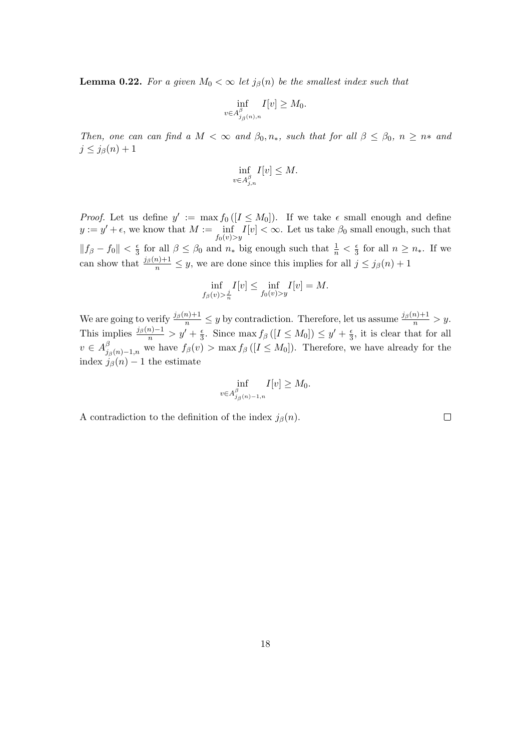**Lemma 0.22.** For a given  $M_0 < \infty$  let  $j_\beta(n)$  be the smallest index such that

$$
\inf_{v \in A_{j_{\beta}(n),n}^{\beta}} I[v] \ge M_0.
$$

Then, one can can find a  $M < \infty$  and  $\beta_0, n_*$ , such that for all  $\beta \leq \beta_0$ ,  $n \geq n_*$  and  $j \leq j_{\beta}(n) + 1$ 

$$
\inf_{v \in A_{j,n}^{\beta}} I[v] \le M.
$$

*Proof.* Let us define  $y' := \max f_0([I \leq M_0])$ . If we take  $\epsilon$  small enough and define  $y := y' + \epsilon$ , we know that  $M := \inf_{f_0(v) > y} I[v] < \infty$ . Let us take  $\beta_0$  small enough, such that  $||f_\beta - f_0|| < \frac{\epsilon}{3}$  $\frac{\epsilon}{3}$  for all  $\beta \leq \beta_0$  and  $n_*$  big enough such that  $\frac{1}{n} < \frac{\epsilon}{3}$  $\frac{\epsilon}{3}$  for all  $n \geq n_*$ . If we can show that  $\frac{j_{\beta}(n)+1}{n} \leq y$ , we are done since this implies for all  $j \leq j_{\beta}(n)+1$ 

$$
\inf_{f_{\beta}(v) > \frac{j}{n}} I[v] \le \inf_{f_0(v) > y} I[v] = M.
$$

We are going to verify  $\frac{j_\beta(n)+1}{n} \leq y$  by contradiction. Therefore, let us assume  $\frac{j_\beta(n)+1}{n} > y$ . This implies  $\frac{j_\beta(n)-1}{n} > y' + \frac{\epsilon}{3}$  $\frac{\epsilon}{3}$ . Since max  $f_\beta([I \leq M_0]) \leq y' + \frac{\epsilon}{3}$  $\frac{\epsilon}{3}$ , it is clear that for all  $v \in A_i^{\beta}$  $j_{\beta}(n)-1,n$  we have  $f_{\beta}(v) > \max f_{\beta}([I \leq M_0])$ . Therefore, we have already for the index  $j_\beta(n) - 1$  the estimate

$$
\inf_{v \in A_{j_{\beta}(n)-1,n}^{\beta}} I[v] \ge M_0.
$$

A contradiction to the definition of the index  $j_{\beta}(n)$ .

 $\hfill \square$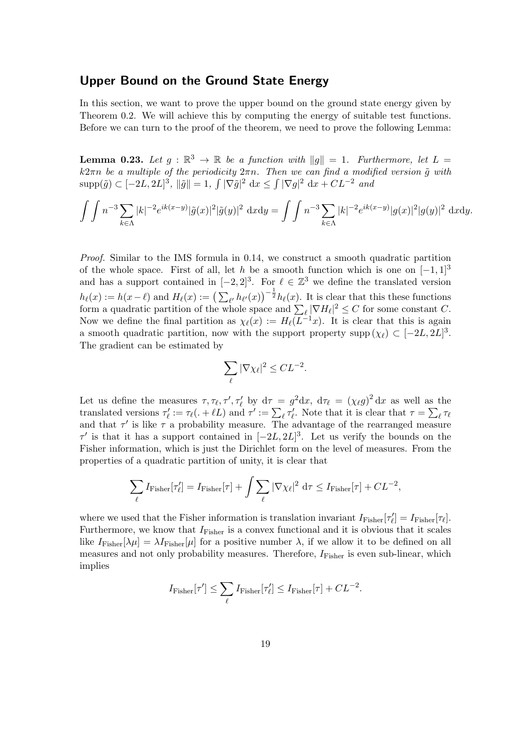### Upper Bound on the Ground State Energy

In this section, we want to prove the upper bound on the ground state energy given by Theorem 0.2. We will achieve this by computing the energy of suitable test functions. Before we can turn to the proof of the theorem, we need to prove the following Lemma:

**Lemma 0.23.** Let  $g : \mathbb{R}^3 \to \mathbb{R}$  be a function with  $||g|| = 1$ . Furthermore, let  $L =$  $k2\pi n$  be a multiple of the periodicity  $2\pi n$ . Then we can find a modified version  $\tilde{g}$  with  $\text{supp}(\tilde{g}) \subset [-2L, 2L]^3$ ,  $\|\tilde{g}\| = 1$ ,  $\int |\nabla \tilde{g}|^2 dx \leq \int |\nabla g|^2 dx + CL^{-2}$  and

$$
\int \int n^{-3} \sum_{k \in \Lambda} |k|^{-2} e^{ik(x-y)} |\tilde{g}(x)|^2 |\tilde{g}(y)|^2 dx dy = \int \int n^{-3} \sum_{k \in \Lambda} |k|^{-2} e^{ik(x-y)} |g(x)|^2 |g(y)|^2 dx dy.
$$

Proof. Similar to the IMS formula in 0.14, we construct a smooth quadratic partition of the whole space. First of all, let h be a smooth function which is one on  $[-1, 1]^3$ and has a support contained in  $[-2, 2]^3$ . For  $\ell \in \mathbb{Z}^3$  we define the translated version  $h_{\ell}(x) := h(x-\ell)$  and  $H_{\ell}(x) := \left(\sum_{\ell'} h_{\ell'}(x)\right)^{-\frac{1}{2}} h_{\ell}(x)$ . It is clear that this these functions form a quadratic partition of the whole space and  $\sum_{\ell} |\nabla H_{\ell}|^2 \leq C$  for some constant C. Now we define the final partition as  $\chi_{\ell}(x) := H_{\ell}(L^{-1}x)$ . It is clear that this is again a smooth quadratic partition, now with the support property supp  $(\chi_{\ell}) \subset [-2L, 2L]^3$ . The gradient can be estimated by

$$
\sum_\ell |\nabla \chi_\ell|^2 \leq CL^{-2}.
$$

Let us define the measures  $\tau, \tau_{\ell}, \tau', \tau'_{\ell}$  by  $d\tau = g^2 dx$ ,  $d\tau_{\ell} = (\chi_{\ell} g)^2 dx$  as well as the translated versions  $\tau'_\ell := \tau_\ell(. + \ell L)$  and  $\tau' := \sum_\ell \tau'_\ell$ . Note that it is clear that  $\tau = \sum_\ell \tau_\ell$ and that  $\tau'$  is like  $\tau$  a probability measure. The advantage of the rearranged measure  $\tau'$  is that it has a support contained in  $[-2L, 2L]^3$ . Let us verify the bounds on the Fisher information, which is just the Dirichlet form on the level of measures. From the properties of a quadratic partition of unity, it is clear that

$$
\sum_{\ell} I_{\text{Fisher}}[\tau'_{\ell}] = I_{\text{Fisher}}[\tau] + \int \sum_{\ell} |\nabla \chi_{\ell}|^2 d\tau \le I_{\text{Fisher}}[\tau] + CL^{-2},
$$

where we used that the Fisher information is translation invariant  $I_{\text{Fisher}}[\tau_\ell] = I_{\text{Fisher}}[\tau_\ell]$ . Furthermore, we know that  $I_{\text{Fisher}}$  is a convex functional and it is obvious that it scales like  $I_{\text{Fisher}}[\lambda\mu] = \lambda I_{\text{Fisher}}[\mu]$  for a positive number  $\lambda$ , if we allow it to be defined on all measures and not only probability measures. Therefore,  $I_{\text{Fisher}}$  is even sub-linear, which implies

$$
I_{\text{Fisher}}[\tau'] \le \sum_{\ell} I_{\text{Fisher}}[\tau'_{\ell}] \le I_{\text{Fisher}}[\tau] + CL^{-2}.
$$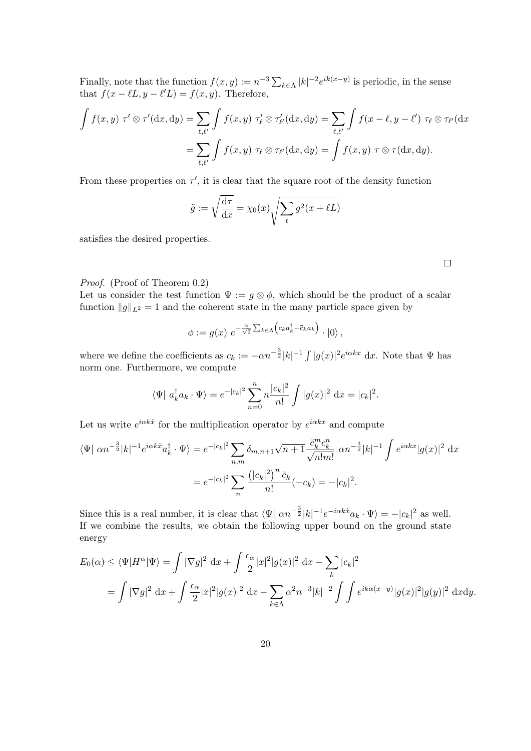Finally, note that the function  $f(x, y) := n^{-3} \sum_{k \in \Lambda} |k|^{-2} e^{ik(x-y)}$  is periodic, in the sense that  $f(x - \ell L, y - \ell' L) = f(x, y)$ . Therefore,

$$
\int f(x,y) \ \tau' \otimes \tau'(\mathrm{d}x,\mathrm{d}y) = \sum_{\ell,\ell'} \int f(x,y) \ \tau'_{\ell} \otimes \tau'_{\ell'}(\mathrm{d}x,\mathrm{d}y) = \sum_{\ell,\ell'} \int f(x-\ell,y-\ell') \ \tau_{\ell} \otimes \tau_{\ell'}(\mathrm{d}x)
$$

$$
= \sum_{\ell,\ell'} \int f(x,y) \ \tau_{\ell} \otimes \tau_{\ell'}(\mathrm{d}x,\mathrm{d}y) = \int f(x,y) \ \tau \otimes \tau(\mathrm{d}x,\mathrm{d}y).
$$

From these properties on  $\tau'$ , it is clear that the square root of the density function

$$
\tilde{g} := \sqrt{\frac{d\tau}{dx}} = \chi_0(x) \sqrt{\sum_{\ell} g^2(x + \ell L)}
$$

satisfies the desired properties.

#### Proof. (Proof of Theorem 0.2)

Let us consider the test function  $\Psi := g \otimes \phi$ , which should be the product of a scalar function  $||g||_{L^2} = 1$  and the coherent state in the many particle space given by

$$
\phi := g(x) e^{-\frac{\alpha}{\sqrt{2}} \sum_{k \in \Lambda} \left( c_k a_k^{\dagger} - \overline{c}_k a_k \right)} \cdot |0\rangle,
$$

where we define the coefficients as  $c_k := -\alpha n^{-\frac{3}{2}} |k|^{-1} \int |g(x)|^2 e^{i\alpha k x} dx$ . Note that  $\Psi$  has norm one. Furthermore, we compute

$$
\langle \Psi | a_k^{\dagger} a_k \cdot \Psi \rangle = e^{-|c_k|^2} \sum_{n=0}^n n \frac{|c_k|^2}{n!} \int |g(x)|^2 dx = |c_k|^2.
$$

Let us write  $e^{i\alpha k\hat{x}}$  for the multiplication operator by  $e^{i\alpha kx}$  and compute

$$
\langle \Psi | \alpha n^{-\frac{3}{2}} |k|^{-1} e^{i\alpha k \hat{x}} a_k^{\dagger} \cdot \Psi \rangle = e^{-|c_k|^2} \sum_{n,m} \delta_{m,n+1} \sqrt{n+1} \frac{\bar{c}_k^m c_k^n}{\sqrt{n! m!}} \alpha n^{-\frac{3}{2}} |k|^{-1} \int e^{i\alpha k x} |g(x)|^2 dx
$$
  
= 
$$
e^{-|c_k|^2} \sum_n \frac{(|c_k|^2)^n \bar{c}_k}{n!} (-c_k) = -|c_k|^2.
$$

Since this is a real number, it is clear that  $\langle \Psi | \alpha n^{-\frac{3}{2}} |k|^{-1} e^{-i \alpha k \hat{x}} a_k \cdot \Psi \rangle = -|c_k|^2$  as well. If we combine the results, we obtain the following upper bound on the ground state energy

$$
E_0(\alpha) \le \langle \Psi | H^{\alpha} | \Psi \rangle = \int |\nabla g|^2 \, dx + \int \frac{\epsilon_{\alpha}}{2} |x|^2 |g(x)|^2 \, dx - \sum_{k} |c_k|^2
$$
  
= 
$$
\int |\nabla g|^2 \, dx + \int \frac{\epsilon_{\alpha}}{2} |x|^2 |g(x)|^2 \, dx - \sum_{k \in \Lambda} \alpha^2 n^{-3} |k|^{-2} \int \int e^{ik\alpha(x-y)} |g(x)|^2 |g(y)|^2 \, dx \, dy.
$$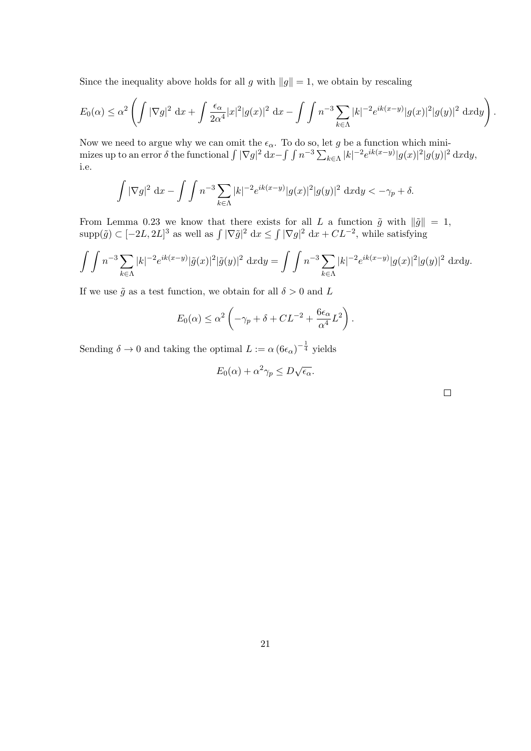Since the inequality above holds for all g with  $||g|| = 1$ , we obtain by rescaling

$$
E_0(\alpha) \leq \alpha^2 \left( \int |\nabla g|^2 \, dx + \int \frac{\epsilon_\alpha}{2\alpha^4} |x|^2 |g(x)|^2 \, dx - \int \int n^{-3} \sum_{k \in \Lambda} |k|^{-2} e^{ik(x-y)} |g(x)|^2 |g(y)|^2 \, dxdy \right).
$$

Now we need to argue why we can omit the  $\epsilon_{\alpha}$ . To do so, let g be a function which minimizes up to an error  $\delta$  the functional  $\int |\nabla g|^2 dx - \int \int n^{-3} \sum_{k \in \Lambda} |k|^{-2} e^{ik(x-y)} |g(x)|^2 |g(y)|^2 dx dy$ , i.e.

$$
\int |\nabla g|^2 \, \mathrm{d}x - \int \int n^{-3} \sum_{k \in \Lambda} |k|^{-2} e^{ik(x-y)} |g(x)|^2 |g(y)|^2 \, \mathrm{d}x \mathrm{d}y < -\gamma_p + \delta.
$$

From Lemma 0.23 we know that there exists for all L a function  $\tilde{g}$  with  $\|\tilde{g}\| = 1$ ,  $\text{supp}(\tilde{g}) \subset [-2L, 2L]^3$  as well as  $\int |\nabla \tilde{g}|^2 dx \leq \int |\nabla g|^2 dx + CL^{-2}$ , while satisfying

$$
\int \int n^{-3} \sum_{k \in \Lambda} |k|^{-2} e^{ik(x-y)} |\tilde{g}(x)|^2 |\tilde{g}(y)|^2 dx dy = \int \int n^{-3} \sum_{k \in \Lambda} |k|^{-2} e^{ik(x-y)} |g(x)|^2 |g(y)|^2 dx dy.
$$

If we use  $\tilde{g}$  as a test function, we obtain for all  $\delta > 0$  and L

$$
E_0(\alpha) \leq \alpha^2 \left( -\gamma_p + \delta + CL^{-2} + \frac{6\epsilon_\alpha}{\alpha^4} L^2 \right).
$$

Sending  $\delta \to 0$  and taking the optimal  $L := \alpha (\frac{6\epsilon_{\alpha}}{1 - \frac{1}{4}})$  yields

$$
E_0(\alpha) + \alpha^2 \gamma_p \le D\sqrt{\epsilon_\alpha}.
$$